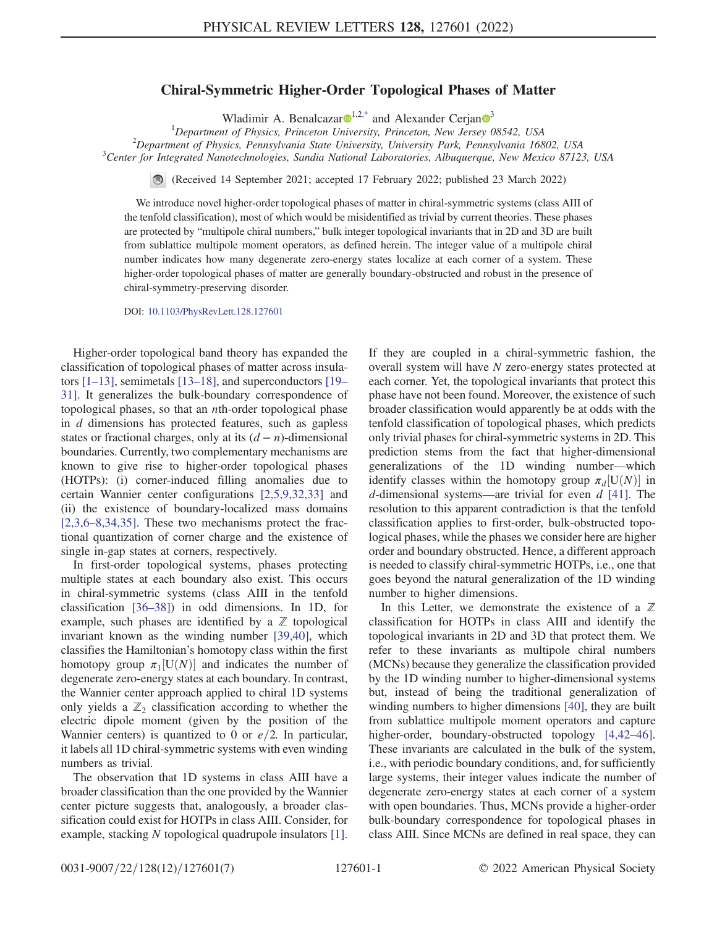## Chiral-Symmetric Higher-Order Topological Phases of Matter

Wladimir A. Benalcazar $\mathbf{D}^{1,2,*}$  $\mathbf{D}^{1,2,*}$  $\mathbf{D}^{1,2,*}$  $\mathbf{D}^{1,2,*}$  $\mathbf{D}^{1,2,*}$  and Alexander Cerjan  $\mathbf{D}^{3}$  $\mathbf{D}^{3}$  $\mathbf{D}^{3}$ 

<sup>1</sup>Department of Physics, Princeton University, Princeton, New Jersey 08542, USA<br><sup>2</sup>Department of Physics, Pennsylvania State University, University Park, Pennsylvania 168

 $1^2$ Department of Physics, Pennsylvania State University, University Park, Pennsylvania 16802, USA

<span id="page-0-0"></span> $C<sup>3</sup>$ Center for Integrated Nanotechnologies, Sandia National Laboratories, Albuquerque, New Mexico 87123, USA

(Received 14 September 2021; accepted 17 February 2022; published 23 March 2022)

We introduce novel higher-order topological phases of matter in chiral-symmetric systems (class AIII of the tenfold classification), most of which would be misidentified as trivial by current theories. These phases are protected by "multipole chiral numbers," bulk integer topological invariants that in 2D and 3D are built from sublattice multipole moment operators, as defined herein. The integer value of a multipole chiral number indicates how many degenerate zero-energy states localize at each corner of a system. These higher-order topological phases of matter are generally boundary-obstructed and robust in the presence of chiral-symmetry-preserving disorder.

DOI: [10.1103/PhysRevLett.128.127601](https://doi.org/10.1103/PhysRevLett.128.127601)

Higher-order topological band theory has expanded the classification of topological phases of matter across insulators [\[1](#page-4-1)–[13](#page-4-2)], semimetals [\[13](#page-4-2)–[18](#page-4-3)], and superconductors [\[19](#page-4-4)– [31\]](#page-5-0). It generalizes the bulk-boundary correspondence of topological phases, so that an nth-order topological phase in  $d$  dimensions has protected features, such as gapless states or fractional charges, only at its  $(d - n)$ -dimensional boundaries. Currently, two complementary mechanisms are known to give rise to higher-order topological phases (HOTPs): (i) corner-induced filling anomalies due to certain Wannier center configurations [[2](#page-4-5),[5,](#page-4-6)[9](#page-4-7)[,32](#page-5-1)[,33\]](#page-5-2) and (ii) the existence of boundary-localized mass domains [\[2,](#page-4-5)[3](#page-4-8)[,6](#page-4-9)–[8](#page-4-10)[,34,](#page-5-3)[35](#page-5-4)]. These two mechanisms protect the fractional quantization of corner charge and the existence of single in-gap states at corners, respectively.

In first-order topological systems, phases protecting multiple states at each boundary also exist. This occurs in chiral-symmetric systems (class AIII in the tenfold classification [\[36](#page-5-5)–[38](#page-5-6)]) in odd dimensions. In 1D, for example, such phases are identified by a  $\mathbb Z$  topological invariant known as the winding number [\[39](#page-5-7)[,40\]](#page-5-8), which classifies the Hamiltonian's homotopy class within the first homotopy group  $\pi_1[U(N)]$  and indicates the number of degenerate zero-energy states at each boundary. In contrast degenerate zero-energy states at each boundary. In contrast, the Wannier center approach applied to chiral 1D systems only yields a  $\mathbb{Z}_2$  classification according to whether the electric dipole moment (given by the position of the Wannier centers) is quantized to 0 or  $e/2$ . In particular, it labels all 1D chiral-symmetric systems with even winding numbers as trivial.

The observation that 1D systems in class AIII have a broader classification than the one provided by the Wannier center picture suggests that, analogously, a broader classification could exist for HOTPs in class AIII. Consider, for example, stacking N topological quadrupole insulators [[1](#page-4-1)]. If they are coupled in a chiral-symmetric fashion, the overall system will have N zero-energy states protected at each corner. Yet, the topological invariants that protect this phase have not been found. Moreover, the existence of such broader classification would apparently be at odds with the tenfold classification of topological phases, which predicts only trivial phases for chiral-symmetric systems in 2D. This prediction stems from the fact that higher-dimensional generalizations of the 1D winding number—which identify classes within the homotopy group  $\pi_d$ [U(N)] in definitional systems—are trivial for even d [411]. The d-dimensional systems—are trivial for even  $d$  [[41](#page-5-9)]. The resolution to this apparent contradiction is that the tenfold classification applies to first-order, bulk-obstructed topological phases, while the phases we consider here are higher order and boundary obstructed. Hence, a different approach is needed to classify chiral-symmetric HOTPs, i.e., one that goes beyond the natural generalization of the 1D winding number to higher dimensions.

In this Letter, we demonstrate the existence of a  $\mathbb Z$ classification for HOTPs in class AIII and identify the topological invariants in 2D and 3D that protect them. We refer to these invariants as multipole chiral numbers (MCNs) because they generalize the classification provided by the 1D winding number to higher-dimensional systems but, instead of being the traditional generalization of winding numbers to higher dimensions [\[40\]](#page-5-8), they are built from sublattice multipole moment operators and capture higher-order, boundary-obstructed topology [[4](#page-4-11),[42](#page-5-10)–[46](#page-5-11)]. These invariants are calculated in the bulk of the system, i.e., with periodic boundary conditions, and, for sufficiently large systems, their integer values indicate the number of degenerate zero-energy states at each corner of a system with open boundaries. Thus, MCNs provide a higher-order bulk-boundary correspondence for topological phases in class AIII. Since MCNs are defined in real space, they can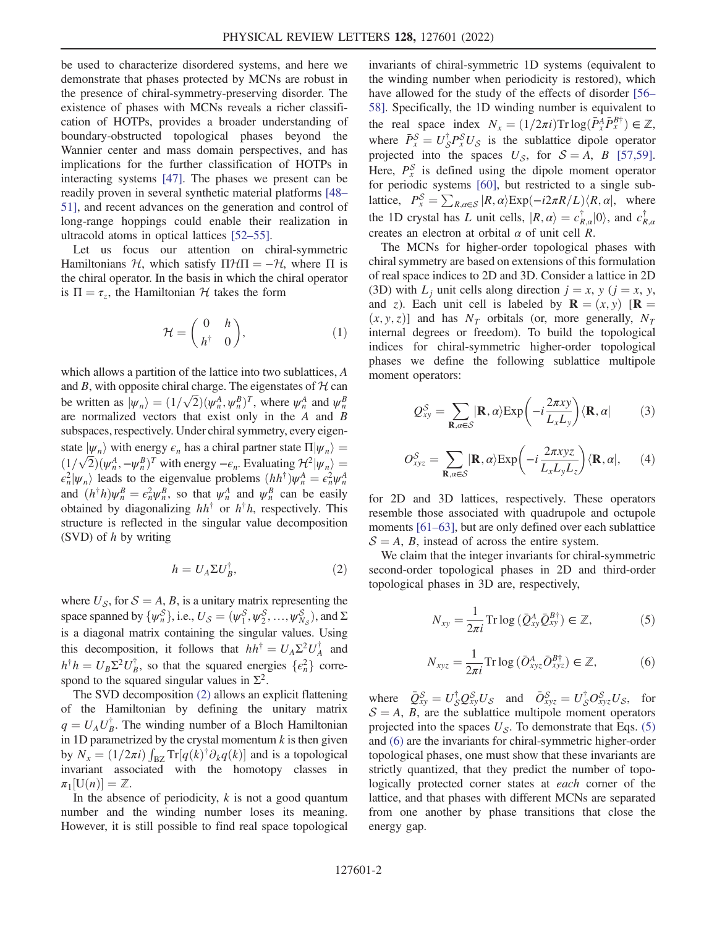be used to characterize disordered systems, and here we demonstrate that phases protected by MCNs are robust in the presence of chiral-symmetry-preserving disorder. The existence of phases with MCNs reveals a richer classification of HOTPs, provides a broader understanding of boundary-obstructed topological phases beyond the Wannier center and mass domain perspectives, and has implications for the further classification of HOTPs in interacting systems [[47](#page-5-12)]. The phases we present can be readily proven in several synthetic material platforms [\[48](#page-5-13)– [51\]](#page-5-14), and recent advances on the generation and control of long-range hoppings could enable their realization in ultracold atoms in optical lattices [[52](#page-5-15)–[55\]](#page-5-16).

<span id="page-1-3"></span>Let us focus our attention on chiral-symmetric Hamiltonians H, which satisfy  $\Pi$ H $\Pi$  =  $-\mathcal{H}$ , where  $\Pi$  is the chiral operator. In the basis in which the chiral operator is  $\Pi = \tau_z$ , the Hamiltonian H takes the form

$$
\mathcal{H} = \begin{pmatrix} 0 & h \\ h^{\dagger} & 0 \end{pmatrix}, \tag{1}
$$

which allows a partition of the lattice into two sublattices, A and B, with opposite chiral charge. The eigenstates of  $H$  can be written as  $|\psi_n\rangle = (1/\sqrt{2})(\psi_n^A, \psi_n^B)^T$ , where  $\psi_n^A$  and  $\psi_n^B$ <br>are normalized vectors that exist only in the 4 and B are normalized vectors that exist only in the A and B subspaces, respectively. Under chiral symmetry, every eigenstate  $|\psi_n\rangle$  with energy  $\epsilon_n$  has a chiral partner state  $\Pi|\psi_n\rangle =$  $(1/\sqrt{2})(\psi_n^A, -\psi_n^B)^T$  with energy  $-\epsilon_n$ . Evaluating  $\mathcal{H}^2|\psi_n\rangle = \epsilon^2 |\psi_n\rangle$  leads to the eigenvalue problems  $(hh^{\dagger})w^A - \epsilon^2 w^A$  $\epsilon_n^2 |\psi_n\rangle$  leads to the eigenvalue problems  $(hh^{\dagger})\psi_n^A = \epsilon_n^2 \psi_n^A$ <br>and  $(h^{\dagger}h)\psi_n^B = \epsilon_n^2 w_n^B$  so that  $w_n^A$  and  $w_n^B$  can be easily and  $(h^{\dagger}h)\psi_n^B = \epsilon_n^2 \psi_n^B$ , so that  $\psi_n^A$  and  $\psi_n^B$  can be easily<br>obtained by diagonalizing  $hh^{\dagger}$  or  $h^{\dagger}h$  respectively. This obtained by diagonalizing  $hh^{\dagger}$  or  $h^{\dagger}h$ , respectively. This structure is reflected in the singular value decomposition (SVD) of  $h$  by writing

$$
h = U_A \Sigma U_B^{\dagger}, \tag{2}
$$

<span id="page-1-0"></span>where  $U_s$ , for  $S = A$ , B, is a unitary matrix representing the space spanned by  $\{\psi_n^S\}$ , i.e.,  $U_S = (\psi_1^S, \psi_2^S, ..., \psi_{N_S}^S)$ , and  $\Sigma$ <br>is a diagonal metrix containing the singular values. Lising is a diagonal matrix containing the singular values. Using this decomposition, it follows that  $hh^{\dagger} = U_A \Sigma^2 U_A^{\dagger}$  and  $h^{\dagger} h = U \Sigma^2 U^{\dagger}$  are that the squared approves  $\left[ c^2 \right]$  approx $h^{\dagger}h = U_B \Sigma^2 U_B^{\dagger}$ , so that the squared energies  $\{\epsilon_n^2\}$  correspond to the squared singular values in  $\Sigma^2$ .

The SVD decomposition [\(2\)](#page-1-0) allows an explicit flattening of the Hamiltonian by defining the unitary matrix  $q = U_A U_B^{\dagger}$ . The winding number of a Bloch Hamiltonian<br>in 1D parametrized by the crystal momentum k is then given in 1D parametrized by the crystal momentum  $k$  is then given by  $N_x = (1/2\pi i) \int_{BZ} Tr[q(k)^{\dagger} \partial_k q(k)]$  and is a topological<br>invariant associated with the homotony classes in invariant associated with the homotopy classes in  $\pi_1[U(n)] = \mathbb{Z}$ .<br>In the abser

In the absence of periodicity,  $k$  is not a good quantum number and the winding number loses its meaning. However, it is still possible to find real space topological invariants of chiral-symmetric 1D systems (equivalent to the winding number when periodicity is restored), which have allowed for the study of the effects of disorder [\[56](#page-5-17)– [58\]](#page-6-0). Specifically, the 1D winding number is equivalent to the real space index  $N_x = (1/2\pi i) \text{Tr} \log(\bar{P}_x^A \bar{P}_x^{B\dagger}) \in \mathbb{Z}$ , where  $\bar{P}_x^S = U_S^{\dagger} P_s^S U_S$  is the sublattice dipole operator<br>projected into the spaces  $U_s$  for  $S = A \cdot B$  [57.50] projected into the spaces  $U_{\mathcal{S}}$ , for  $\mathcal{S} = A$ , B [\[57,](#page-6-1)[59](#page-6-2)]. Here,  $P_x^{\mathcal{S}}$  is defined using the dipole moment operator for periodic systems [\[60\]](#page-6-3), but restricted to a single sublattice,  $P_s^S = \sum_{R,a \in S} |R,a\rangle \exp(-i2\pi R/L) \langle R,a|$ , where the 1D crystal has L unit cells,  $|R, \alpha\rangle = c_{R,\alpha}^{\dagger} |0\rangle$ , and  $c_{R,\alpha}^{\dagger}$  creates an electron at orbital  $\alpha$  of unit cell  $R$ creates an electron at orbital  $\alpha$  of unit cell R.

The MCNs for higher-order topological phases with chiral symmetry are based on extensions of this formulation of real space indices to 2D and 3D. Consider a lattice in 2D (3D) with  $L_i$  unit cells along direction  $j = x$ ,  $y$  ( $j = x$ ,  $y$ , and z). Each unit cell is labeled by  $\mathbf{R} = (x, y)$  [ $\mathbf{R} =$  $(x, y, z)$  and has  $N_T$  orbitals (or, more generally,  $N_T$ internal degrees or freedom). To build the topological indices for chiral-symmetric higher-order topological phases we define the following sublattice multipole moment operators:

$$
Q_{xy}^{S} = \sum_{\mathbf{R},\alpha \in S} |\mathbf{R},\alpha\rangle \exp\left(-i\frac{2\pi xy}{L_{x}L_{y}}\right) \langle \mathbf{R},\alpha| \tag{3}
$$

$$
O_{xyz}^{S} = \sum_{\mathbf{R}, \alpha \in S} |\mathbf{R}, \alpha\rangle \exp\left(-i \frac{2\pi xyz}{L_x L_y L_z}\right) \langle \mathbf{R}, \alpha|, \quad (4)
$$

for 2D and 3D lattices, respectively. These operators resemble those associated with quadrupole and octupole moments [[61](#page-6-4)–[63](#page-6-5)], but are only defined over each sublattice  $S = A$ , B, instead of across the entire system.

<span id="page-1-1"></span>We claim that the integer invariants for chiral-symmetric second-order topological phases in 2D and third-order topological phases in 3D are, respectively,

$$
N_{xy} = \frac{1}{2\pi i} \operatorname{Tr} \log \left( \bar{Q}_{xy}^A \bar{Q}_{xy}^{B\dagger} \right) \in \mathbb{Z},\tag{5}
$$

$$
N_{xyz} = \frac{1}{2\pi i} \operatorname{Tr} \log \left( \bar{O}_{xyz}^A \bar{O}_{xyz}^{B\dagger} \right) \in \mathbb{Z},\tag{6}
$$

<span id="page-1-2"></span>where  $\overline{Q}_{xy}^S = U_S^{\dagger} Q_{xy}^S U_S$  and  $\overline{Q}_{xyz}^S = U_S^{\dagger} Q_{xyz}^S U_S$ , for  $S = A$   $B$  are the sublattice multipole moment operators  $S = A$ , B, are the sublattice multipole moment operators projected into the spaces  $U_{\mathcal{S}}$ . To demonstrate that Eqs. [\(5\)](#page-1-1) and [\(6\)](#page-1-2) are the invariants for chiral-symmetric higher-order topological phases, one must show that these invariants are strictly quantized, that they predict the number of topologically protected corner states at each corner of the lattice, and that phases with different MCNs are separated from one another by phase transitions that close the energy gap.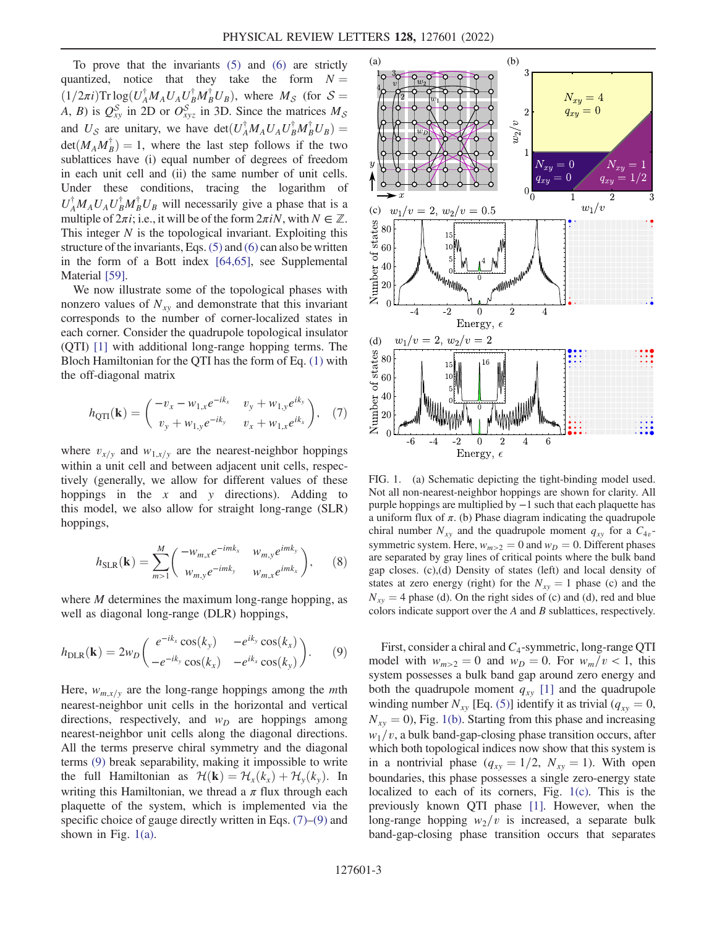To prove that the invariants [\(5\)](#page-1-1) and [\(6\)](#page-1-2) are strictly quantized, notice that they take the form  $N =$  $(1/2\pi i)$ Tr  $\log(U_A^{\dagger} M_A U_A U_B^{\dagger} M_B^{\dagger} U_B)$ , where  $M_S$  (for  $S =$ <br>A, B) is  $O_S$  in 2D or  $O_S^S$  in 3D. Since the matrices M A, B) is  $Q_{xy}^S$  in 2D or  $O_{xyz}^S$  in 3D. Since the matrices  $M_S$ and  $U_S$  are unitary, we have  $\det(U_A^{\dagger} M_A U_A U_B^{\dagger} M_B^{\dagger} U_B) =$  $\det(M_A M_B^{\dagger}) = 1$ , where the last step follows if the two<br>sublattices have (i) equal number of degrees of freedom sublattices have (i) equal number of degrees of freedom in each unit cell and (ii) the same number of unit cells. Under these conditions, tracing the logarithm of  $U_A^{\dagger} M_A U_A U_B^{\dagger} M_B^{\dagger} U_B$  will necessarily give a phase that is a multiple of  $2\pi i$ ; i.e., it will be of the form  $2\pi iN$ , with  $N \in \mathbb{Z}$ . This integer  $N$  is the topological invariant. Exploiting this structure of the invariants, Eqs. [\(5\)](#page-1-1) and [\(6\)](#page-1-2) can also be written in the form of a Bott index [\[64](#page-6-6)[,65\]](#page-6-7), see Supplemental Material [\[59](#page-6-2)].

We now illustrate some of the topological phases with nonzero values of  $N_{xy}$  and demonstrate that this invariant corresponds to the number of corner-localized states in each corner. Consider the quadrupole topological insulator (QTI) [\[1\]](#page-4-1) with additional long-range hopping terms. The Bloch Hamiltonian for the QTI has the form of Eq. [\(1\)](#page-1-3) with the off-diagonal matrix

<span id="page-2-1"></span>
$$
h_{\text{QTI}}(\mathbf{k}) = \begin{pmatrix} -v_x - w_{1,x}e^{-ik_x} & v_y + w_{1,y}e^{ik_y} \\ v_y + w_{1,y}e^{-ik_y} & v_x + w_{1,x}e^{ik_x} \end{pmatrix}, \quad (7)
$$

where  $v_{x/y}$  and  $w_{1,x/y}$  are the nearest-neighbor hoppings within a unit cell and between adjacent unit cells, respectively (generally, we allow for different values of these hoppings in the  $x$  and  $y$  directions). Adding to this model, we also allow for straight long-range (SLR) hoppings,

$$
h_{\text{SLR}}(\mathbf{k}) = \sum_{m>1}^{M} \begin{pmatrix} -w_{m,x} e^{-imk_x} & w_{m,y} e^{imk_y} \\ w_{m,y} e^{-imk_y} & w_{m,x} e^{imk_x} \end{pmatrix}, \qquad (8)
$$

<span id="page-2-0"></span>where *M* determines the maximum long-range hopping, as well as diagonal long-range (DLR) hoppings,

$$
h_{\text{DLR}}(\mathbf{k}) = 2w_D \begin{pmatrix} e^{-ik_x} \cos(k_y) & -e^{ik_y} \cos(k_x) \\ -e^{-ik_y} \cos(k_x) & -e^{ik_x} \cos(k_y) \end{pmatrix} . \tag{9}
$$

Here,  $w_{m,x/y}$  are the long-range hoppings among the *mth* nearest-neighbor unit cells in the horizontal and vertical directions, respectively, and  $w_D$  are hoppings among nearest-neighbor unit cells along the diagonal directions. All the terms preserve chiral symmetry and the diagonal terms [\(9\)](#page-2-0) break separability, making it impossible to write the full Hamiltonian as  $\mathcal{H}(\mathbf{k}) = \mathcal{H}_x(k_x) + \mathcal{H}_y(k_y)$ . In writing this Hamiltonian, we thread a  $\pi$  flux through each plaquette of the system, which is implemented via the specific choice of gauge directly written in Eqs.  $(7)$ – $(9)$  and shown in Fig.  $1(a)$ .

<span id="page-2-2"></span>

FIG. 1. (a) Schematic depicting the tight-binding model used. Not all non-nearest-neighbor hoppings are shown for clarity. All purple hoppings are multiplied by −1 such that each plaquette has a uniform flux of  $\pi$ . (b) Phase diagram indicating the quadrupole chiral number  $N_{xy}$  and the quadrupole moment  $q_{xy}$  for a  $C_{4v}$ symmetric system. Here,  $w_{m>2} = 0$  and  $w_D = 0$ . Different phases are separated by gray lines of critical points where the bulk band gap closes. (c),(d) Density of states (left) and local density of states at zero energy (right) for the  $N_{xy} = 1$  phase (c) and the  $N_{xy} = 4$  phase (d). On the right sides of (c) and (d), red and blue colors indicate support over the A and B sublattices, respectively.

First, consider a chiral and  $C_4$ -symmetric, long-range QTI model with  $w_{m>2} = 0$  and  $w_D = 0$ . For  $w_m/v < 1$ , this system possesses a bulk band gap around zero energy and both the quadrupole moment  $q_{xy}$  [[1\]](#page-4-1) and the quadrupole winding number  $N_{xy}$  [Eq. [\(5\)](#page-1-1)] identify it as trivial ( $q_{xy} = 0$ ,  $N_{xy} = 0$ , Fig. [1\(b\)](#page-2-2). Starting from this phase and increasing  $w_1/v$ , a bulk band-gap-closing phase transition occurs, after which both topological indices now show that this system is in a nontrivial phase  $(q_{xy} = 1/2, N_{xy} = 1)$ . With open boundaries, this phase possesses a single zero-energy state localized to each of its corners, Fig. [1\(c\)](#page-2-2). This is the previously known QTI phase [\[1\]](#page-4-1). However, when the long-range hopping  $w_2/v$  is increased, a separate bulk band-gap-closing phase transition occurs that separates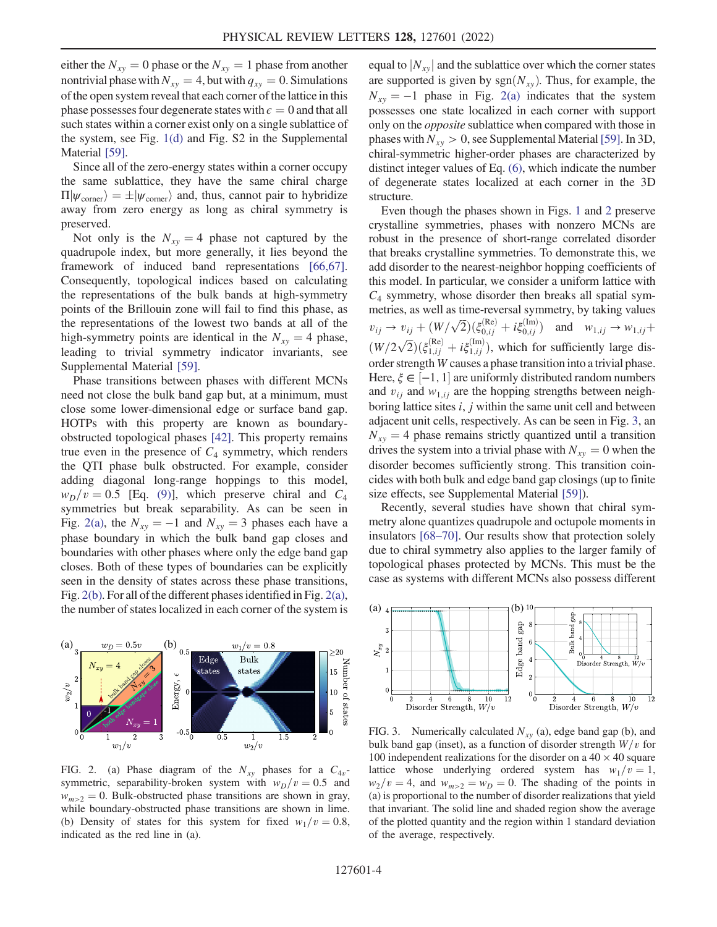either the  $N_{xy} = 0$  phase or the  $N_{xy} = 1$  phase from another nontrivial phase with  $N_{xy} = 4$ , but with  $q_{xy} = 0$ . Simulations of the open system reveal that each corner of the lattice in this phase possesses four degenerate states with  $\epsilon = 0$  and that all such states within a corner exist only on a single sublattice of the system, see Fig. [1\(d\)](#page-2-2) and Fig. S2 in the Supplemental Material [\[59](#page-6-2)].

Since all of the zero-energy states within a corner occupy the same sublattice, they have the same chiral charge  $\Pi|\psi_{\text{corner}}\rangle = \pm |\psi_{\text{corner}}\rangle$  and, thus, cannot pair to hybridize away from zero energy as long as chiral symmetry is preserved.

Not only is the  $N_{xy} = 4$  phase not captured by the quadrupole index, but more generally, it lies beyond the framework of induced band representations [\[66,](#page-6-8)[67](#page-6-9)]. Consequently, topological indices based on calculating the representations of the bulk bands at high-symmetry points of the Brillouin zone will fail to find this phase, as the representations of the lowest two bands at all of the high-symmetry points are identical in the  $N_{xy} = 4$  phase, leading to trivial symmetry indicator invariants, see Supplemental Material [[59](#page-6-2)].

Phase transitions between phases with different MCNs need not close the bulk band gap but, at a minimum, must close some lower-dimensional edge or surface band gap. HOTPs with this property are known as boundaryobstructed topological phases [[42](#page-5-10)]. This property remains true even in the presence of  $C_4$  symmetry, which renders the QTI phase bulk obstructed. For example, consider adding diagonal long-range hoppings to this model,  $w_D/v = 0.5$  [Eq. [\(9\)](#page-2-0)], which preserve chiral and  $C_4$ symmetries but break separability. As can be seen in Fig. [2\(a\),](#page-3-0) the  $N_{xy} = -1$  and  $N_{xy} = 3$  phases each have a phase boundary in which the bulk band gap closes and boundaries with other phases where only the edge band gap closes. Both of these types of boundaries can be explicitly seen in the density of states across these phase transitions, Fig. [2\(b\)](#page-3-0). For all of the different phases identified in Fig. [2\(a\)](#page-3-0), the number of states localized in each corner of the system is

<span id="page-3-0"></span>

FIG. 2. (a) Phase diagram of the  $N_{xy}$  phases for a  $C_{4v}$ symmetric, separability-broken system with  $w_D/v = 0.5$  and  $w_{m>2} = 0$ . Bulk-obstructed phase transitions are shown in gray, while boundary-obstructed phase transitions are shown in lime. (b) Density of states for this system for fixed  $w_1/v = 0.8$ , indicated as the red line in (a).

equal to  $|N_{xy}|$  and the sublattice over which the corner states are supported is given by  $sgn(N_{xy})$ . Thus, for example, the  $N_{xy} = -1$  phase in Fig. [2\(a\)](#page-3-0) indicates that the system possesses one state localized in each corner with support only on the opposite sublattice when compared with those in phases with  $N_{xy} > 0$ , see Supplemental Material [\[59\]](#page-6-2). In 3D, chiral-symmetric higher-order phases are characterized by distinct integer values of Eq. [\(6\)](#page-1-2), which indicate the number of degenerate states localized at each corner in the 3D structure.

Even though the phases shown in Figs. [1](#page-2-2) and [2](#page-3-0) preserve crystalline symmetries, phases with nonzero MCNs are robust in the presence of short-range correlated disorder that breaks crystalline symmetries. To demonstrate this, we add disorder to the nearest-neighbor hopping coefficients of this model. In particular, we consider a uniform lattice with  $C_4$  symmetry, whose disorder then breaks all spatial symmetries, as well as time-reversal symmetry, by taking values  $v_{ij} \to v_{ij} + (W/\sqrt{2})(\xi_{0,ij}^{(Re)} + i\xi_{0,ij}^{(Im)})$  and  $w_{1,ij} \to w_{1,ij} + (w_{1,ij}^{(Re)} + i\xi_{0,ij}^{(Im)})$  $\frac{W}{2\sqrt{2}}(\xi_{1,ij}^{(Re)} + i\xi_{1,ij}^{(Im)})$ , which for sufficiently large disorder strength W causes a phase transition into a trivial phase. Here,  $\xi \in [-1, 1]$  are uniformly distributed random numbers<br>and  $v_{xx}$  and  $w_{yy}$  are the hopping strengths between neighand  $v_{ij}$  and  $w_{1,ij}$  are the hopping strengths between neighboring lattice sites  $i$ ,  $j$  within the same unit cell and between adjacent unit cells, respectively. As can be seen in Fig. [3](#page-3-1), an  $N_{xy} = 4$  phase remains strictly quantized until a transition drives the system into a trivial phase with  $N_{xy} = 0$  when the disorder becomes sufficiently strong. This transition coincides with both bulk and edge band gap closings (up to finite size effects, see Supplemental Material [\[59\]](#page-6-2)).

Recently, several studies have shown that chiral symmetry alone quantizes quadrupole and octupole moments in insulators [[68](#page-6-10)–[70](#page-6-11)]. Our results show that protection solely due to chiral symmetry also applies to the larger family of topological phases protected by MCNs. This must be the case as systems with different MCNs also possess different

<span id="page-3-1"></span>

FIG. 3. Numerically calculated  $N_{xy}$  (a), edge band gap (b), and bulk band gap (inset), as a function of disorder strength  $W/v$  for 100 independent realizations for the disorder on a  $40 \times 40$  square lattice whose underlying ordered system has  $w_1/v = 1$ ,  $w_2/v = 4$ , and  $w_{m>2} = w_D = 0$ . The shading of the points in (a) is proportional to the number of disorder realizations that yield that invariant. The solid line and shaded region show the average of the plotted quantity and the region within 1 standard deviation of the average, respectively.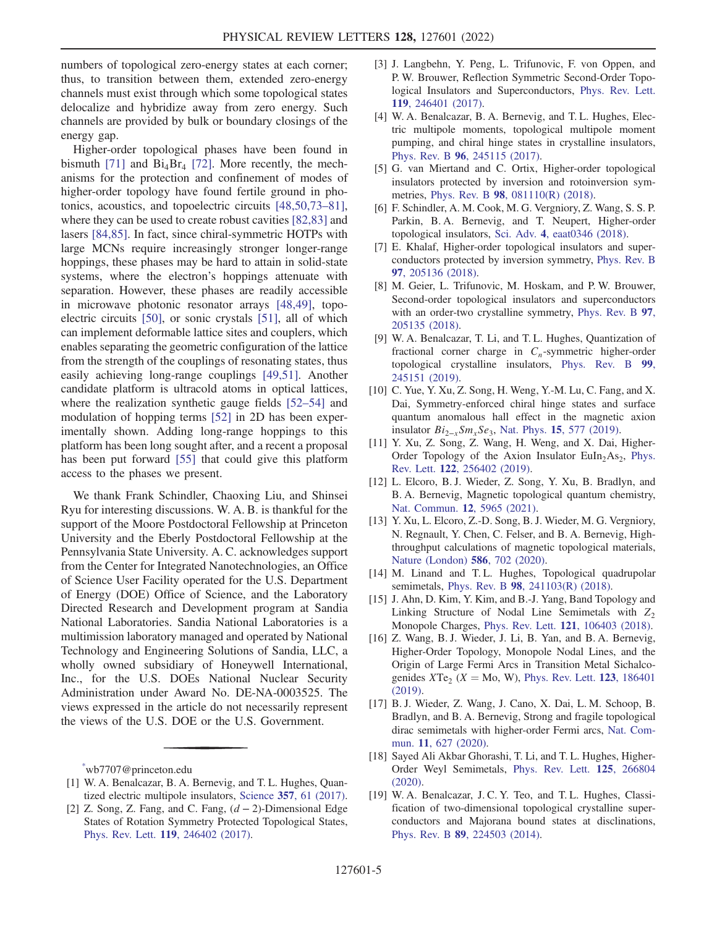numbers of topological zero-energy states at each corner; thus, to transition between them, extended zero-energy channels must exist through which some topological states delocalize and hybridize away from zero energy. Such channels are provided by bulk or boundary closings of the energy gap.

Higher-order topological phases have been found in bismuth [\[71\]](#page-6-12) and  $Bi_4Br_4$  [\[72\]](#page-6-13). More recently, the mechanisms for the protection and confinement of modes of higher-order topology have found fertile ground in photonics, acoustics, and topoelectric circuits [[48](#page-5-13),[50](#page-5-18),[73](#page-6-14)–[81](#page-6-15)], where they can be used to create robust cavities [[82](#page-6-16),[83](#page-6-17)] and lasers [[84](#page-6-18),[85](#page-6-19)]. In fact, since chiral-symmetric HOTPs with large MCNs require increasingly stronger longer-range hoppings, these phases may be hard to attain in solid-state systems, where the electron's hoppings attenuate with separation. However, these phases are readily accessible in microwave photonic resonator arrays [\[48,](#page-5-13)[49](#page-5-19)], topoelectric circuits [\[50\]](#page-5-18), or sonic crystals [\[51\]](#page-5-14), all of which can implement deformable lattice sites and couplers, which enables separating the geometric configuration of the lattice from the strength of the couplings of resonating states, thus easily achieving long-range couplings [[49](#page-5-19),[51](#page-5-14)]. Another candidate platform is ultracold atoms in optical lattices, where the realization synthetic gauge fields [\[52](#page-5-15)–[54](#page-5-20)] and modulation of hopping terms [[52](#page-5-15)] in 2D has been experimentally shown. Adding long-range hoppings to this platform has been long sought after, and a recent a proposal has been put forward [\[55\]](#page-5-16) that could give this platform access to the phases we present.

We thank Frank Schindler, Chaoxing Liu, and Shinsei Ryu for interesting discussions. W. A. B. is thankful for the support of the Moore Postdoctoral Fellowship at Princeton University and the Eberly Postdoctoral Fellowship at the Pennsylvania State University. A. C. acknowledges support from the Center for Integrated Nanotechnologies, an Office of Science User Facility operated for the U.S. Department of Energy (DOE) Office of Science, and the Laboratory Directed Research and Development program at Sandia National Laboratories. Sandia National Laboratories is a multimission laboratory managed and operated by National Technology and Engineering Solutions of Sandia, LLC, a wholly owned subsidiary of Honeywell International, Inc., for the U.S. DOEs National Nuclear Security Administration under Award No. DE-NA-0003525. The views expressed in the article do not necessarily represent the views of the U.S. DOE or the U.S. Government.

<span id="page-4-0"></span>[\\*](#page-0-0) wb7707@princeton.edu

- <span id="page-4-1"></span>[1] W. A. Benalcazar, B. A. Bernevig, and T. L. Hughes, Quantized electric multipole insulators, Science 357[, 61 \(2017\).](https://doi.org/10.1126/science.aah6442)
- <span id="page-4-5"></span>[2] Z. Song, Z. Fang, and C. Fang,  $(d - 2)$ -Dimensional Edge States of Rotation Symmetry Protected Topological States, Phys. Rev. Lett. 119[, 246402 \(2017\).](https://doi.org/10.1103/PhysRevLett.119.246402)
- <span id="page-4-8"></span>[3] J. Langbehn, Y. Peng, L. Trifunovic, F. von Oppen, and P. W. Brouwer, Reflection Symmetric Second-Order Topological Insulators and Superconductors, [Phys. Rev. Lett.](https://doi.org/10.1103/PhysRevLett.119.246401) 119[, 246401 \(2017\).](https://doi.org/10.1103/PhysRevLett.119.246401)
- <span id="page-4-11"></span>[4] W. A. Benalcazar, B. A. Bernevig, and T. L. Hughes, Electric multipole moments, topological multipole moment pumping, and chiral hinge states in crystalline insulators, Phys. Rev. B 96[, 245115 \(2017\).](https://doi.org/10.1103/PhysRevB.96.245115)
- <span id="page-4-6"></span>[5] G. van Miertand and C. Ortix, Higher-order topological insulators protected by inversion and rotoinversion symmetries, Phys. Rev. B 98[, 081110\(R\) \(2018\).](https://doi.org/10.1103/PhysRevB.98.081110)
- <span id="page-4-9"></span>[6] F. Schindler, A. M. Cook, M. G. Vergniory, Z. Wang, S. S. P. Parkin, B. A. Bernevig, and T. Neupert, Higher-order topological insulators, Sci. Adv. 4[, eaat0346 \(2018\).](https://doi.org/10.1126/sciadv.aat0346)
- [7] E. Khalaf, Higher-order topological insulators and superconductors protected by inversion symmetry, [Phys. Rev. B](https://doi.org/10.1103/PhysRevB.97.205136) 97[, 205136 \(2018\).](https://doi.org/10.1103/PhysRevB.97.205136)
- <span id="page-4-10"></span>[8] M. Geier, L. Trifunovic, M. Hoskam, and P.W. Brouwer, Second-order topological insulators and superconductors with an order-two crystalline symmetry, [Phys. Rev. B](https://doi.org/10.1103/PhysRevB.97.205135) 97, [205135 \(2018\).](https://doi.org/10.1103/PhysRevB.97.205135)
- <span id="page-4-7"></span>[9] W. A. Benalcazar, T. Li, and T. L. Hughes, Quantization of fractional corner charge in  $C_n$ -symmetric higher-order topological crystalline insulators, [Phys. Rev. B](https://doi.org/10.1103/PhysRevB.99.245151) 99, [245151 \(2019\).](https://doi.org/10.1103/PhysRevB.99.245151)
- [10] C. Yue, Y. Xu, Z. Song, H. Weng, Y.-M. Lu, C. Fang, and X. Dai, Symmetry-enforced chiral hinge states and surface quantum anomalous hall effect in the magnetic axion insulator  $Bi_{2-x}Sm_xSe_3$ , Nat. Phys. 15[, 577 \(2019\).](https://doi.org/10.1038/s41567-019-0457-0)
- [11] Y. Xu, Z. Song, Z. Wang, H. Weng, and X. Dai, Higher-Order Topology of the Axion Insulator  $Euln<sub>2</sub>As<sub>2</sub>$ , [Phys.](https://doi.org/10.1103/PhysRevLett.122.256402) Rev. Lett. 122[, 256402 \(2019\).](https://doi.org/10.1103/PhysRevLett.122.256402)
- [12] L. Elcoro, B. J. Wieder, Z. Song, Y. Xu, B. Bradlyn, and B. A. Bernevig, Magnetic topological quantum chemistry, [Nat. Commun.](https://doi.org/10.1038/s41467-021-26241-8) 12, 5965 (2021).
- <span id="page-4-2"></span>[13] Y. Xu, L. Elcoro, Z.-D. Song, B. J. Wieder, M. G. Vergniory, N. Regnault, Y. Chen, C. Felser, and B. A. Bernevig, Highthroughput calculations of magnetic topological materials, [Nature \(London\)](https://doi.org/10.1038/s41586-020-2837-0) 586, 702 (2020).
- [14] M. Linand and T. L. Hughes, Topological quadrupolar semimetals, Phys. Rev. B 98[, 241103\(R\) \(2018\)](https://doi.org/10.1103/PhysRevB.98.241103).
- [15] J. Ahn, D. Kim, Y. Kim, and B.-J. Yang, Band Topology and Linking Structure of Nodal Line Semimetals with  $Z_2$ Monopole Charges, Phys. Rev. Lett. 121[, 106403 \(2018\).](https://doi.org/10.1103/PhysRevLett.121.106403)
- [16] Z. Wang, B. J. Wieder, J. Li, B. Yan, and B. A. Bernevig, Higher-Order Topology, Monopole Nodal Lines, and the Origin of Large Fermi Arcs in Transition Metal Sichalcogenides  $XTe_2$  ( $X = Mo$ , W), [Phys. Rev. Lett.](https://doi.org/10.1103/PhysRevLett.123.186401) 123, 186401 [\(2019\).](https://doi.org/10.1103/PhysRevLett.123.186401)
- [17] B. J. Wieder, Z. Wang, J. Cano, X. Dai, L. M. Schoop, B. Bradlyn, and B. A. Bernevig, Strong and fragile topological dirac semimetals with higher-order Fermi arcs, [Nat. Com](https://doi.org/10.1038/s41467-020-14443-5)mun. 11[, 627 \(2020\)](https://doi.org/10.1038/s41467-020-14443-5).
- <span id="page-4-3"></span>[18] Sayed Ali Akbar Ghorashi, T. Li, and T. L. Hughes, Higher-Order Weyl Semimetals, [Phys. Rev. Lett.](https://doi.org/10.1103/PhysRevLett.125.266804) 125, 266804  $(2020)$ .
- <span id="page-4-4"></span>[19] W. A. Benalcazar, J. C. Y. Teo, and T. L. Hughes, Classification of two-dimensional topological crystalline superconductors and Majorana bound states at disclinations, Phys. Rev. B 89[, 224503 \(2014\).](https://doi.org/10.1103/PhysRevB.89.224503)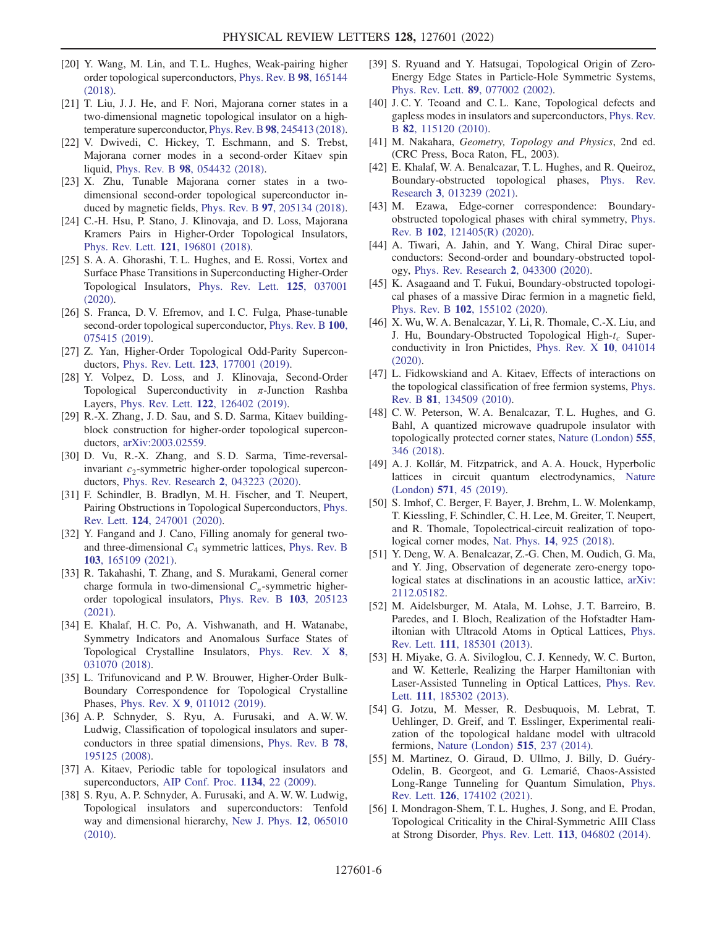- [20] Y. Wang, M. Lin, and T. L. Hughes, Weak-pairing higher order topological superconductors, [Phys. Rev. B](https://doi.org/10.1103/PhysRevB.98.165144) 98, 165144 [\(2018\).](https://doi.org/10.1103/PhysRevB.98.165144)
- [21] T. Liu, J. J. He, and F. Nori, Majorana corner states in a two-dimensional magnetic topological insulator on a high-temperature superconductor, Phys. Rev. B 98[, 245413 \(2018\).](https://doi.org/10.1103/PhysRevB.98.245413)
- [22] V. Dwivedi, C. Hickey, T. Eschmann, and S. Trebst, Majorana corner modes in a second-order Kitaev spin liquid, Phys. Rev. B 98[, 054432 \(2018\).](https://doi.org/10.1103/PhysRevB.98.054432)
- [23] X. Zhu, Tunable Majorana corner states in a twodimensional second-order topological superconductor induced by magnetic fields, Phys. Rev. B 97[, 205134 \(2018\).](https://doi.org/10.1103/PhysRevB.97.205134)
- [24] C.-H. Hsu, P. Stano, J. Klinovaja, and D. Loss, Majorana Kramers Pairs in Higher-Order Topological Insulators, Phys. Rev. Lett. 121[, 196801 \(2018\).](https://doi.org/10.1103/PhysRevLett.121.196801)
- [25] S. A. A. Ghorashi, T. L. Hughes, and E. Rossi, Vortex and Surface Phase Transitions in Superconducting Higher-Order Topological Insulators, [Phys. Rev. Lett.](https://doi.org/10.1103/PhysRevLett.125.037001) 125, 037001  $(2020)$ .
- [26] S. Franca, D. V. Efremov, and I. C. Fulga, Phase-tunable second-order topological superconductor, [Phys. Rev. B](https://doi.org/10.1103/PhysRevB.100.075415) 100, [075415 \(2019\).](https://doi.org/10.1103/PhysRevB.100.075415)
- [27] Z. Yan, Higher-Order Topological Odd-Parity Superconductors, Phys. Rev. Lett. 123[, 177001 \(2019\)](https://doi.org/10.1103/PhysRevLett.123.177001).
- [28] Y. Volpez, D. Loss, and J. Klinovaja, Second-Order Topological Superconductivity in  $\pi$ -Junction Rashba Layers, Phys. Rev. Lett. 122[, 126402 \(2019\)](https://doi.org/10.1103/PhysRevLett.122.126402).
- [29] R.-X. Zhang, J. D. Sau, and S. D. Sarma, Kitaev buildingblock construction for higher-order topological superconductors, [arXiv:2003.02559](https://arXiv.org/abs/2003.02559).
- [30] D. Vu, R.-X. Zhang, and S. D. Sarma, Time-reversalinvariant  $c_2$ -symmetric higher-order topological superconductors, [Phys. Rev. Research](https://doi.org/10.1103/PhysRevResearch.2.043223) 2, 043223 (2020).
- <span id="page-5-0"></span>[31] F. Schindler, B. Bradlyn, M. H. Fischer, and T. Neupert, Pairing Obstructions in Topological Superconductors, [Phys.](https://doi.org/10.1103/PhysRevLett.124.247001) Rev. Lett. 124[, 247001 \(2020\).](https://doi.org/10.1103/PhysRevLett.124.247001)
- <span id="page-5-1"></span>[32] Y. Fangand and J. Cano, Filling anomaly for general twoand three-dimensional  $C_4$  symmetric lattices, [Phys. Rev. B](https://doi.org/10.1103/PhysRevB.103.165109) 103[, 165109 \(2021\).](https://doi.org/10.1103/PhysRevB.103.165109)
- <span id="page-5-2"></span>[33] R. Takahashi, T. Zhang, and S. Murakami, General corner charge formula in two-dimensional  $C_n$ -symmetric higherorder topological insulators, [Phys. Rev. B](https://doi.org/10.1103/PhysRevB.103.205123) 103, 205123 [\(2021\).](https://doi.org/10.1103/PhysRevB.103.205123)
- <span id="page-5-3"></span>[34] E. Khalaf, H.C. Po, A. Vishwanath, and H. Watanabe, Symmetry Indicators and Anomalous Surface States of Topological Crystalline Insulators, [Phys. Rev. X](https://doi.org/10.1103/PhysRevX.8.031070) 8, [031070 \(2018\).](https://doi.org/10.1103/PhysRevX.8.031070)
- <span id="page-5-4"></span>[35] L. Trifunovicand and P.W. Brouwer, Higher-Order Bulk-Boundary Correspondence for Topological Crystalline Phases, Phys. Rev. X 9[, 011012 \(2019\)](https://doi.org/10.1103/PhysRevX.9.011012).
- <span id="page-5-5"></span>[36] A. P. Schnyder, S. Ryu, A. Furusaki, and A. W. W. Ludwig, Classification of topological insulators and superconductors in three spatial dimensions, [Phys. Rev. B](https://doi.org/10.1103/PhysRevB.78.195125) 78, [195125 \(2008\).](https://doi.org/10.1103/PhysRevB.78.195125)
- <span id="page-5-6"></span>[37] A. Kitaev, Periodic table for topological insulators and superconductors, [AIP Conf. Proc.](https://doi.org/10.1063/1.3149495) 1134, 22 (2009).
- [38] S. Ryu, A. P. Schnyder, A. Furusaki, and A. W. W. Ludwig, Topological insulators and superconductors: Tenfold way and dimensional hierarchy, [New J. Phys.](https://doi.org/10.1088/1367-2630/12/6/065010) 12, 065010 [\(2010\).](https://doi.org/10.1088/1367-2630/12/6/065010)
- <span id="page-5-7"></span>[39] S. Ryuand and Y. Hatsugai, Topological Origin of Zero-Energy Edge States in Particle-Hole Symmetric Systems, Phys. Rev. Lett. 89[, 077002 \(2002\)](https://doi.org/10.1103/PhysRevLett.89.077002).
- <span id="page-5-8"></span>[40] J.C. Y. Teoand and C.L. Kane, Topological defects and gapless modes in insulators and superconductors, [Phys. Rev.](https://doi.org/10.1103/PhysRevB.82.115120) B 82[, 115120 \(2010\).](https://doi.org/10.1103/PhysRevB.82.115120)
- <span id="page-5-9"></span>[41] M. Nakahara, Geometry, Topology and Physics, 2nd ed. (CRC Press, Boca Raton, FL, 2003).
- <span id="page-5-10"></span>[42] E. Khalaf, W. A. Benalcazar, T. L. Hughes, and R. Queiroz, Boundary-obstructed topological phases, [Phys. Rev.](https://doi.org/10.1103/PhysRevResearch.3.013239) Research 3[, 013239 \(2021\).](https://doi.org/10.1103/PhysRevResearch.3.013239)
- [43] M. Ezawa, Edge-corner correspondence: Boundaryobstructed topological phases with chiral symmetry, [Phys.](https://doi.org/10.1103/PhysRevB.102.121405) Rev. B 102[, 121405\(R\) \(2020\)](https://doi.org/10.1103/PhysRevB.102.121405).
- [44] A. Tiwari, A. Jahin, and Y. Wang, Chiral Dirac superconductors: Second-order and boundary-obstructed topology, [Phys. Rev. Research](https://doi.org/10.1103/PhysRevResearch.2.043300) 2, 043300 (2020).
- [45] K. Asagaand and T. Fukui, Boundary-obstructed topological phases of a massive Dirac fermion in a magnetic field, Phys. Rev. B 102[, 155102 \(2020\).](https://doi.org/10.1103/PhysRevB.102.155102)
- <span id="page-5-11"></span>[46] X. Wu, W. A. Benalcazar, Y. Li, R. Thomale, C.-X. Liu, and J. Hu, Boundary-Obstructed Topological High- $t_c$  Superconductivity in Iron Pnictides, [Phys. Rev. X](https://doi.org/10.1103/PhysRevX.10.041014) 10, 041014 [\(2020\).](https://doi.org/10.1103/PhysRevX.10.041014)
- <span id="page-5-12"></span>[47] L. Fidkowskiand and A. Kitaev, Effects of interactions on the topological classification of free fermion systems, [Phys.](https://doi.org/10.1103/PhysRevB.81.134509) Rev. B 81[, 134509 \(2010\).](https://doi.org/10.1103/PhysRevB.81.134509)
- <span id="page-5-13"></span>[48] C. W. Peterson, W. A. Benalcazar, T. L. Hughes, and G. Bahl, A quantized microwave quadrupole insulator with topologically protected corner states, [Nature \(London\)](https://doi.org/10.1038/nature25777) 555, [346 \(2018\)](https://doi.org/10.1038/nature25777).
- <span id="page-5-19"></span>[49] A. J. Kollár, M. Fitzpatrick, and A. A. Houck, Hyperbolic lattices in circuit quantum electrodynamics, [Nature](https://doi.org/10.1038/s41586-019-1348-3) (London) 571[, 45 \(2019\).](https://doi.org/10.1038/s41586-019-1348-3)
- <span id="page-5-18"></span>[50] S. Imhof, C. Berger, F. Bayer, J. Brehm, L. W. Molenkamp, T. Kiessling, F. Schindler, C. H. Lee, M. Greiter, T. Neupert, and R. Thomale, Topolectrical-circuit realization of topological corner modes, Nat. Phys. 14[, 925 \(2018\).](https://doi.org/10.1038/s41567-018-0246-1)
- <span id="page-5-14"></span>[51] Y. Deng, W. A. Benalcazar, Z.-G. Chen, M. Oudich, G. Ma, and Y. Jing, Observation of degenerate zero-energy topological states at disclinations in an acoustic lattice, [arXiv:](https://arXiv.org/abs/2112.05182) [2112.05182.](https://arXiv.org/abs/2112.05182)
- <span id="page-5-15"></span>[52] M. Aidelsburger, M. Atala, M. Lohse, J. T. Barreiro, B. Paredes, and I. Bloch, Realization of the Hofstadter Hamiltonian with Ultracold Atoms in Optical Lattices, [Phys.](https://doi.org/10.1103/PhysRevLett.111.185301) Rev. Lett. 111[, 185301 \(2013\).](https://doi.org/10.1103/PhysRevLett.111.185301)
- [53] H. Miyake, G. A. Siviloglou, C. J. Kennedy, W. C. Burton, and W. Ketterle, Realizing the Harper Hamiltonian with Laser-Assisted Tunneling in Optical Lattices, [Phys. Rev.](https://doi.org/10.1103/PhysRevLett.111.185302) Lett. **111**[, 185302 \(2013\)](https://doi.org/10.1103/PhysRevLett.111.185302).
- <span id="page-5-20"></span>[54] G. Jotzu, M. Messer, R. Desbuquois, M. Lebrat, T. Uehlinger, D. Greif, and T. Esslinger, Experimental realization of the topological haldane model with ultracold fermions, [Nature \(London\)](https://doi.org/10.1038/nature13915) 515, 237 (2014).
- <span id="page-5-16"></span>[55] M. Martinez, O. Giraud, D. Ullmo, J. Billy, D. Guéry-Odelin, B. Georgeot, and G. Lemarié, Chaos-Assisted Long-Range Tunneling for Quantum Simulation, [Phys.](https://doi.org/10.1103/PhysRevLett.126.174102) Rev. Lett. 126[, 174102 \(2021\).](https://doi.org/10.1103/PhysRevLett.126.174102)
- <span id="page-5-17"></span>[56] I. Mondragon-Shem, T. L. Hughes, J. Song, and E. Prodan, Topological Criticality in the Chiral-Symmetric AIII Class at Strong Disorder, Phys. Rev. Lett. 113[, 046802 \(2014\).](https://doi.org/10.1103/PhysRevLett.113.046802)